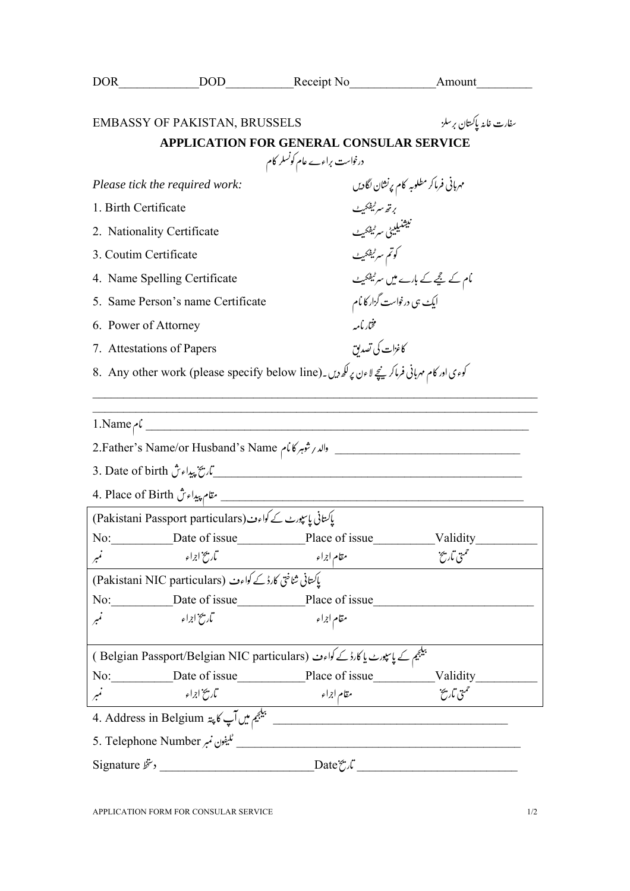| DOR.                                                                                          |                                                                                                                                                                                                                                                                                                                                                    | DOD Receipt No Amount                                                            |                                                                 |  |
|-----------------------------------------------------------------------------------------------|----------------------------------------------------------------------------------------------------------------------------------------------------------------------------------------------------------------------------------------------------------------------------------------------------------------------------------------------------|----------------------------------------------------------------------------------|-----------------------------------------------------------------|--|
|                                                                                               | <b>EMBASSY OF PAKISTAN, BRUSSELS</b>                                                                                                                                                                                                                                                                                                               |                                                                                  | سفارت غاينه پاکستان برسلز                                       |  |
| <b>APPLICATION FOR GENERAL CONSULAR SERVICE</b>                                               |                                                                                                                                                                                                                                                                                                                                                    |                                                                                  |                                                                 |  |
| درخواست براءے عام کونسلر کام                                                                  |                                                                                                                                                                                                                                                                                                                                                    |                                                                                  |                                                                 |  |
| Please tick the required work:                                                                |                                                                                                                                                                                                                                                                                                                                                    |                                                                                  | مهربانی فرماکر مطلوبه کام پرنشان لگادیں                         |  |
| 1. Birth Certificate                                                                          |                                                                                                                                                                                                                                                                                                                                                    | برتھ سرٹیفکیٹ                                                                    |                                                                 |  |
| 2. Nationality Certificate                                                                    |                                                                                                                                                                                                                                                                                                                                                    |                                                                                  | نىشنىيىس<br>ئىشنىيىنى سىر <sup>ى</sup> يفكى <sup>س</sup>        |  |
| 3. Coutim Certificate                                                                         |                                                                                                                                                                                                                                                                                                                                                    |                                                                                  | كوتم سرٹیفکیٹ                                                   |  |
| 4. Name Spelling Certificate                                                                  |                                                                                                                                                                                                                                                                                                                                                    |                                                                                  | مام کے لیچے کے بارے میں س <sup>ر ٹیفک</sup> یٹ                  |  |
| 5. Same Person's name Certificate                                                             |                                                                                                                                                                                                                                                                                                                                                    |                                                                                  | ایک ہی درخواست گزار کا <sup>ن</sup> ام                          |  |
| 6. Power of Attorney                                                                          |                                                                                                                                                                                                                                                                                                                                                    | مختار بأمه                                                                       |                                                                 |  |
| 7. Attestations of Papers                                                                     |                                                                                                                                                                                                                                                                                                                                                    | كاغزات كى تصديق                                                                  |                                                                 |  |
| کوءی اور کام مهربانی فرماکرینچے لاءن پر لکھ دیں۔(B. Any other work (please specify below line |                                                                                                                                                                                                                                                                                                                                                    |                                                                                  |                                                                 |  |
|                                                                                               |                                                                                                                                                                                                                                                                                                                                                    |                                                                                  |                                                                 |  |
| $1. Name \sim \frac{1}{2}$                                                                    |                                                                                                                                                                                                                                                                                                                                                    |                                                                                  |                                                                 |  |
|                                                                                               |                                                                                                                                                                                                                                                                                                                                                    |                                                                                  |                                                                 |  |
|                                                                                               |                                                                                                                                                                                                                                                                                                                                                    |                                                                                  | 3. Date of birth تَاريخ پيداء ش J. Date of birth تَاريخ پيداء ش |  |
|                                                                                               |                                                                                                                                                                                                                                                                                                                                                    | 4. Place of Birth مپيداء شي. مقام پيداء شي. 1994. 4. Place of Birth              |                                                                 |  |
|                                                                                               | پاکستانی پاسپورٹ کے کواءٹ(Pakistani Passport particulars)                                                                                                                                                                                                                                                                                          |                                                                                  |                                                                 |  |
| No:                                                                                           | Date of issue                                                                                                                                                                                                                                                                                                                                      | Place of issue                                                                   | Validity                                                        |  |
|                                                                                               | تاريخ ابراء                                                                                                                                                                                                                                                                                                                                        | مقام ابراء                                                                       | حمتى باريخ                                                      |  |
|                                                                                               | ياكتانى شاختى كارڈكے كواءٹ (Pakistani NIC particulars)                                                                                                                                                                                                                                                                                             |                                                                                  |                                                                 |  |
|                                                                                               |                                                                                                                                                                                                                                                                                                                                                    | No: Date of issue Place of issue                                                 |                                                                 |  |
|                                                                                               | تاريخ ابراء                                                                                                                                                                                                                                                                                                                                        | مقام ابراء                                                                       |                                                                 |  |
|                                                                                               |                                                                                                                                                                                                                                                                                                                                                    | بیلیجیم کے پاسپورٹ یا کارڈ کے کواءٹ ( Belgian Passport/Belgian NIC particulars ) |                                                                 |  |
|                                                                                               |                                                                                                                                                                                                                                                                                                                                                    |                                                                                  | No: Date of issue Place of issue Validity                       |  |
|                                                                                               | تاريخ ابراء                                                                                                                                                                                                                                                                                                                                        | مقام ابراء                                                                       | حمهق باريخ                                                      |  |
|                                                                                               | 4. Address in Belgium پیلجیم میں آپ کا پتہ                                                                                                                                                                                                                                                                                                         |                                                                                  |                                                                 |  |
|                                                                                               | 5. Telephone Number بليفون نمبر                                                                                                                                                                                                                                                                                                                    |                                                                                  |                                                                 |  |
|                                                                                               | Signature $\mathcal{F}'$ , $\qquad \qquad$ $\qquad \qquad$ $\qquad \qquad$ $\qquad$ $\qquad \qquad$ $\qquad$ $\qquad$ $\qquad$ $\qquad$ $\qquad$ $\qquad$ $\qquad$ $\qquad$ $\qquad$ $\qquad$ $\qquad$ $\qquad$ $\qquad$ $\qquad$ $\qquad$ $\qquad$ $\qquad$ $\qquad$ $\qquad$ $\qquad$ $\qquad$ $\qquad$ $\qquad$ $\qquad$ $\qquad$ $\qquad$ $\q$ | $Date\mathcal{C} \mathcal{L}$                                                    |                                                                 |  |